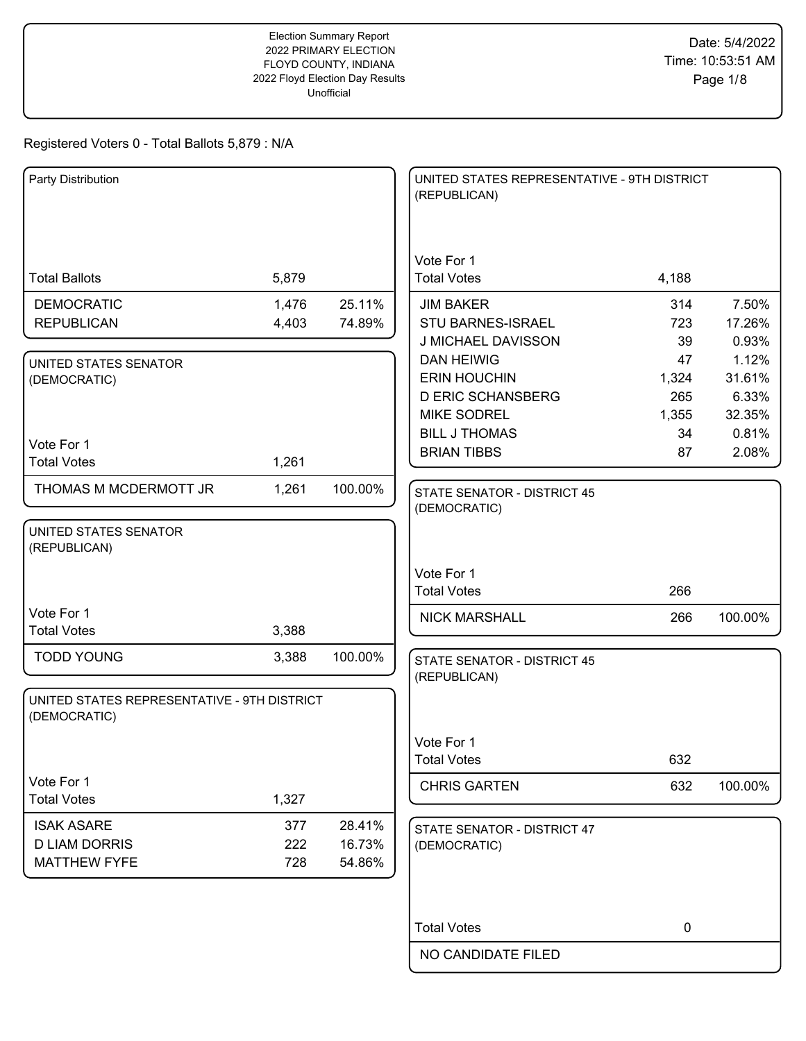| Party Distribution                                          |       |         | UNITED STATES REPRESENTATIVE - 9TH DISTRICT<br>(REPUBLICAN) |             |                 |
|-------------------------------------------------------------|-------|---------|-------------------------------------------------------------|-------------|-----------------|
|                                                             |       |         | Vote For 1                                                  |             |                 |
| <b>Total Ballots</b>                                        | 5,879 |         | <b>Total Votes</b>                                          | 4,188       |                 |
| <b>DEMOCRATIC</b>                                           | 1,476 | 25.11%  | <b>JIM BAKER</b>                                            | 314         | 7.50%           |
| <b>REPUBLICAN</b>                                           | 4,403 | 74.89%  | <b>STU BARNES-ISRAEL</b><br>J MICHAEL DAVISSON              | 723<br>39   | 17.26%<br>0.93% |
| UNITED STATES SENATOR                                       |       |         | <b>DAN HEIWIG</b>                                           | 47          | 1.12%           |
| (DEMOCRATIC)                                                |       |         | <b>ERIN HOUCHIN</b>                                         | 1,324       | 31.61%          |
|                                                             |       |         | <b>D ERIC SCHANSBERG</b>                                    | 265         | 6.33%           |
|                                                             |       |         | <b>MIKE SODREL</b>                                          | 1,355       | 32.35%          |
| Vote For 1                                                  |       |         | <b>BILL J THOMAS</b>                                        | 34          | 0.81%           |
| <b>Total Votes</b>                                          | 1,261 |         | <b>BRIAN TIBBS</b>                                          | 87          | 2.08%           |
| THOMAS M MCDERMOTT JR                                       | 1,261 | 100.00% |                                                             |             |                 |
|                                                             |       |         | <b>STATE SENATOR - DISTRICT 45</b><br>(DEMOCRATIC)          |             |                 |
| UNITED STATES SENATOR<br>(REPUBLICAN)                       |       |         |                                                             |             |                 |
|                                                             |       |         | Vote For 1                                                  |             |                 |
|                                                             |       |         | <b>Total Votes</b>                                          | 266         |                 |
| Vote For 1                                                  |       |         | <b>NICK MARSHALL</b>                                        | 266         | 100.00%         |
| <b>Total Votes</b>                                          | 3,388 |         |                                                             |             |                 |
| <b>TODD YOUNG</b>                                           | 3,388 | 100.00% | <b>STATE SENATOR - DISTRICT 45</b><br>(REPUBLICAN)          |             |                 |
| UNITED STATES REPRESENTATIVE - 9TH DISTRICT<br>(DEMOCRATIC) |       |         |                                                             |             |                 |
|                                                             |       |         | Vote For 1                                                  |             |                 |
|                                                             |       |         | <b>Total Votes</b>                                          | 632         |                 |
| Vote For 1                                                  |       |         | <b>CHRIS GARTEN</b>                                         | 632         | 100.00%         |
| <b>Total Votes</b>                                          | 1,327 |         |                                                             |             |                 |
| <b>ISAK ASARE</b>                                           | 377   | 28.41%  | STATE SENATOR - DISTRICT 47                                 |             |                 |
| <b>D LIAM DORRIS</b>                                        | 222   | 16.73%  | (DEMOCRATIC)                                                |             |                 |
| <b>MATTHEW FYFE</b>                                         | 728   | 54.86%  |                                                             |             |                 |
|                                                             |       |         |                                                             |             |                 |
|                                                             |       |         |                                                             |             |                 |
|                                                             |       |         | <b>Total Votes</b>                                          | $\mathbf 0$ |                 |
|                                                             |       |         | NO CANDIDATE FILED                                          |             |                 |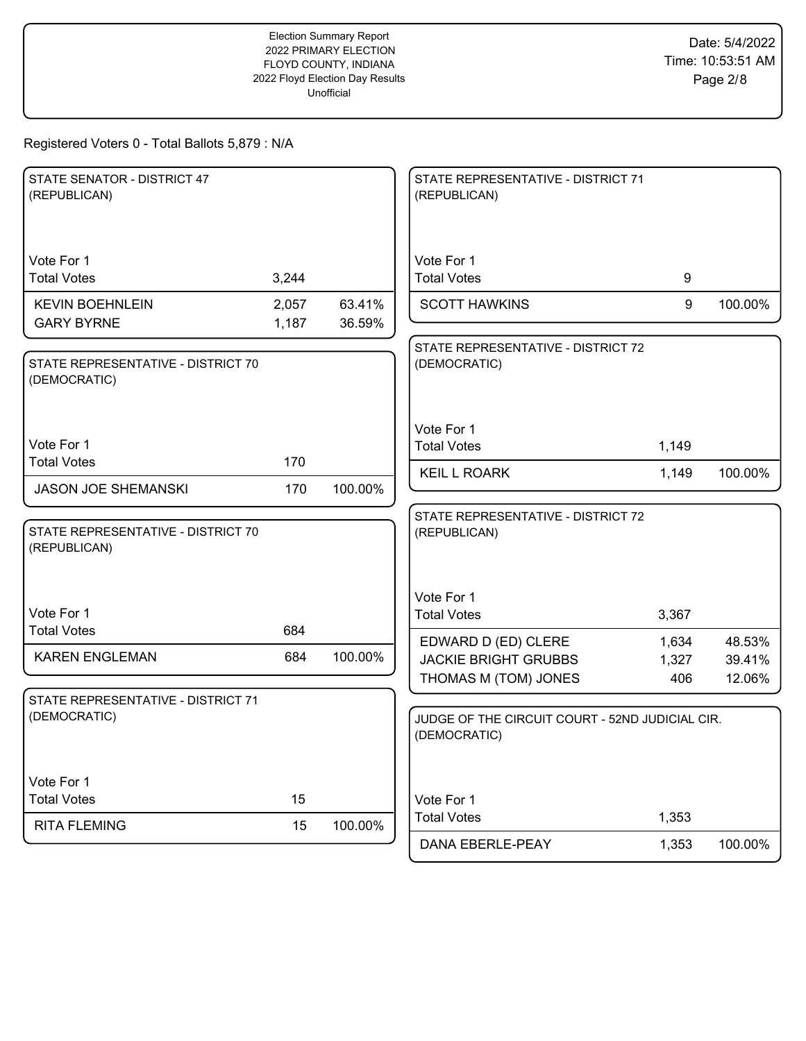Date: 5/4/2022 Time: 10:53:51 AM Page 2/8

| STATE SENATOR - DISTRICT 47<br>(REPUBLICAN)        |                |                  | STATE REPRESENTATIVE - DISTRICT 71<br>(REPUBLICAN)                                      |       |                  |
|----------------------------------------------------|----------------|------------------|-----------------------------------------------------------------------------------------|-------|------------------|
| Vote For 1<br><b>Total Votes</b>                   | 3,244          |                  | Vote For 1<br><b>Total Votes</b>                                                        | 9     |                  |
| <b>KEVIN BOEHNLEIN</b><br><b>GARY BYRNE</b>        | 2,057<br>1,187 | 63.41%<br>36.59% | <b>SCOTT HAWKINS</b>                                                                    | 9     | 100.00%          |
| STATE REPRESENTATIVE - DISTRICT 70<br>(DEMOCRATIC) |                |                  | STATE REPRESENTATIVE - DISTRICT 72<br>(DEMOCRATIC)                                      |       |                  |
| Vote For 1                                         |                |                  | Vote For 1<br><b>Total Votes</b>                                                        | 1,149 |                  |
| <b>Total Votes</b>                                 | 170            |                  | <b>KEIL L ROARK</b>                                                                     | 1,149 | 100.00%          |
| <b>JASON JOE SHEMANSKI</b>                         | 170            | 100.00%          |                                                                                         |       |                  |
| STATE REPRESENTATIVE - DISTRICT 70<br>(REPUBLICAN) |                |                  | STATE REPRESENTATIVE - DISTRICT 72<br>(REPUBLICAN)                                      |       |                  |
| Vote For 1                                         |                |                  | Vote For 1<br><b>Total Votes</b>                                                        | 3,367 |                  |
| <b>Total Votes</b>                                 | 684            |                  | EDWARD D (ED) CLERE                                                                     | 1,634 | 48.53%           |
| <b>KAREN ENGLEMAN</b>                              | 684            | 100.00%          | <b>JACKIE BRIGHT GRUBBS</b>                                                             | 1,327 | 39.41%<br>12.06% |
| STATE REPRESENTATIVE - DISTRICT 71<br>(DEMOCRATIC) |                |                  | THOMAS M (TOM) JONES<br>JUDGE OF THE CIRCUIT COURT - 52ND JUDICIAL CIR.<br>(DEMOCRATIC) | 406   |                  |
| Vote For 1<br><b>Total Votes</b>                   | 15             |                  | Vote For 1                                                                              |       |                  |
| <b>RITA FLEMING</b>                                | 15             | 100.00%          | <b>Total Votes</b>                                                                      | 1,353 |                  |
|                                                    |                |                  | DANA EBERLE-PEAY                                                                        | 1,353 | 100.00%          |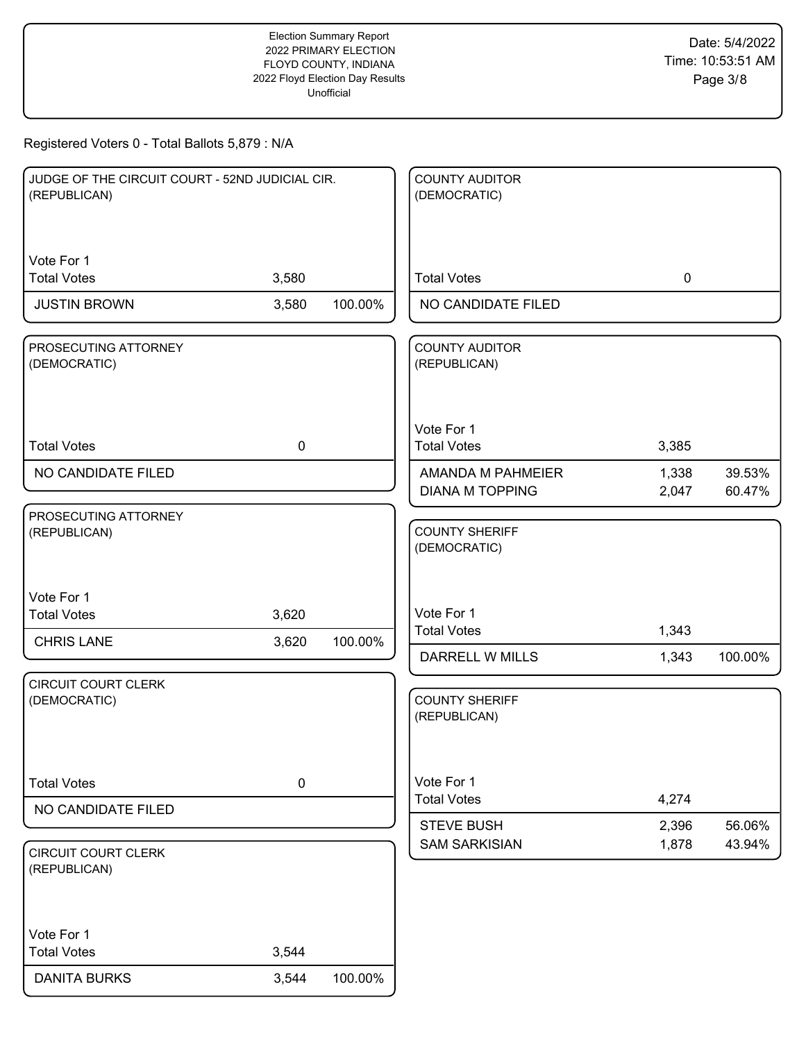| JUDGE OF THE CIRCUIT COURT - 52ND JUDICIAL CIR.<br>(REPUBLICAN) |             |         | <b>COUNTY AUDITOR</b><br>(DEMOCRATIC)       |                |                  |
|-----------------------------------------------------------------|-------------|---------|---------------------------------------------|----------------|------------------|
| Vote For 1                                                      |             |         |                                             |                |                  |
| <b>Total Votes</b>                                              | 3,580       |         | <b>Total Votes</b>                          | $\mathbf 0$    |                  |
| <b>JUSTIN BROWN</b>                                             | 3,580       | 100.00% | NO CANDIDATE FILED                          |                |                  |
| PROSECUTING ATTORNEY<br>(DEMOCRATIC)                            |             |         | <b>COUNTY AUDITOR</b><br>(REPUBLICAN)       |                |                  |
|                                                                 |             |         | Vote For 1                                  |                |                  |
| <b>Total Votes</b>                                              | $\mathbf 0$ |         | <b>Total Votes</b>                          | 3,385          |                  |
| NO CANDIDATE FILED                                              |             |         | AMANDA M PAHMEIER<br><b>DIANA M TOPPING</b> | 1,338<br>2,047 | 39.53%<br>60.47% |
| PROSECUTING ATTORNEY<br>(REPUBLICAN)                            |             |         | <b>COUNTY SHERIFF</b><br>(DEMOCRATIC)       |                |                  |
| Vote For 1<br><b>Total Votes</b>                                | 3,620       |         | Vote For 1                                  |                |                  |
| <b>CHRIS LANE</b>                                               | 3,620       | 100.00% | <b>Total Votes</b><br>DARRELL W MILLS       | 1,343<br>1,343 | 100.00%          |
| <b>CIRCUIT COURT CLERK</b><br>(DEMOCRATIC)                      |             |         | <b>COUNTY SHERIFF</b><br>(REPUBLICAN)       |                |                  |
| <b>Total Votes</b>                                              | $\pmb{0}$   |         | Vote For 1<br><b>Total Votes</b>            | 4,274          |                  |
| NO CANDIDATE FILED                                              |             |         | <b>STEVE BUSH</b>                           | 2,396          | 56.06%           |
| <b>CIRCUIT COURT CLERK</b><br>(REPUBLICAN)                      |             |         | <b>SAM SARKISIAN</b>                        | 1,878          | 43.94%           |
| Vote For 1<br><b>Total Votes</b>                                | 3,544       |         |                                             |                |                  |
| <b>DANITA BURKS</b>                                             | 3,544       | 100.00% |                                             |                |                  |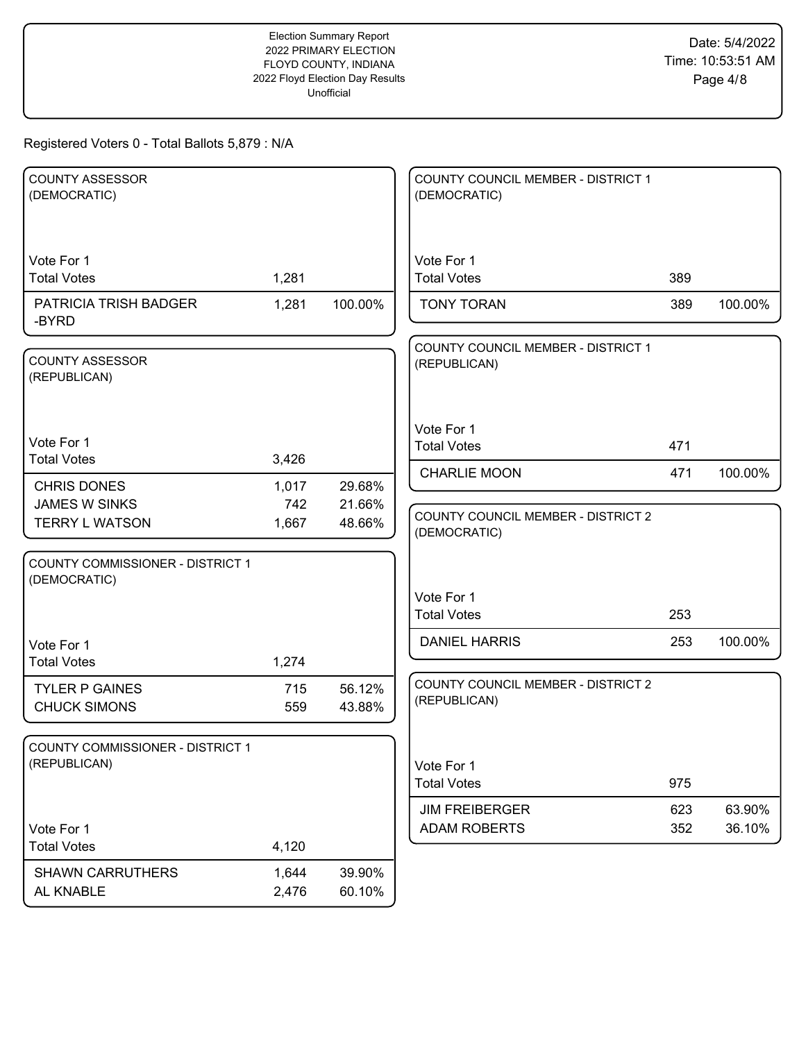| <b>COUNTY ASSESSOR</b><br>(DEMOCRATIC)           |            |                  | COUNTY COUNCIL MEMBER - DISTRICT 1<br>(DEMOCRATIC)        |     |         |
|--------------------------------------------------|------------|------------------|-----------------------------------------------------------|-----|---------|
| Vote For 1<br><b>Total Votes</b>                 | 1,281      |                  | Vote For 1<br><b>Total Votes</b>                          | 389 |         |
| PATRICIA TRISH BADGER<br>-BYRD                   | 1,281      | 100.00%          | <b>TONY TORAN</b>                                         | 389 | 100.00% |
| <b>COUNTY ASSESSOR</b><br>(REPUBLICAN)           |            |                  | COUNTY COUNCIL MEMBER - DISTRICT 1<br>(REPUBLICAN)        |     |         |
| Vote For 1<br><b>Total Votes</b>                 | 3,426      |                  | Vote For 1<br><b>Total Votes</b>                          | 471 |         |
| <b>CHRIS DONES</b>                               | 1,017      | 29.68%           | <b>CHARLIE MOON</b>                                       | 471 | 100.00% |
| <b>JAMES W SINKS</b>                             | 742        | 21.66%           |                                                           |     |         |
| <b>TERRY L WATSON</b>                            | 1,667      | 48.66%           | <b>COUNTY COUNCIL MEMBER - DISTRICT 2</b><br>(DEMOCRATIC) |     |         |
| COUNTY COMMISSIONER - DISTRICT 1<br>(DEMOCRATIC) |            |                  | Vote For 1                                                |     |         |
|                                                  |            |                  | <b>Total Votes</b>                                        | 253 |         |
| Vote For 1                                       |            |                  | <b>DANIEL HARRIS</b>                                      | 253 | 100.00% |
| <b>Total Votes</b>                               | 1,274      |                  |                                                           |     |         |
| <b>TYLER P GAINES</b><br><b>CHUCK SIMONS</b>     | 715<br>559 | 56.12%<br>43.88% | <b>COUNTY COUNCIL MEMBER - DISTRICT 2</b><br>(REPUBLICAN) |     |         |
| COUNTY COMMISSIONER - DISTRICT 1<br>(REPUBLICAN) |            |                  | Vote For 1<br><b>Total Votes</b>                          | 975 |         |
|                                                  |            |                  | <b>JIM FREIBERGER</b>                                     | 623 | 63.90%  |
| Vote For 1<br><b>Total Votes</b>                 | 4,120      |                  | <b>ADAM ROBERTS</b>                                       | 352 | 36.10%  |
| <b>SHAWN CARRUTHERS</b>                          | 1,644      | 39.90%           |                                                           |     |         |
| AL KNABLE                                        | 2,476      | 60.10%           |                                                           |     |         |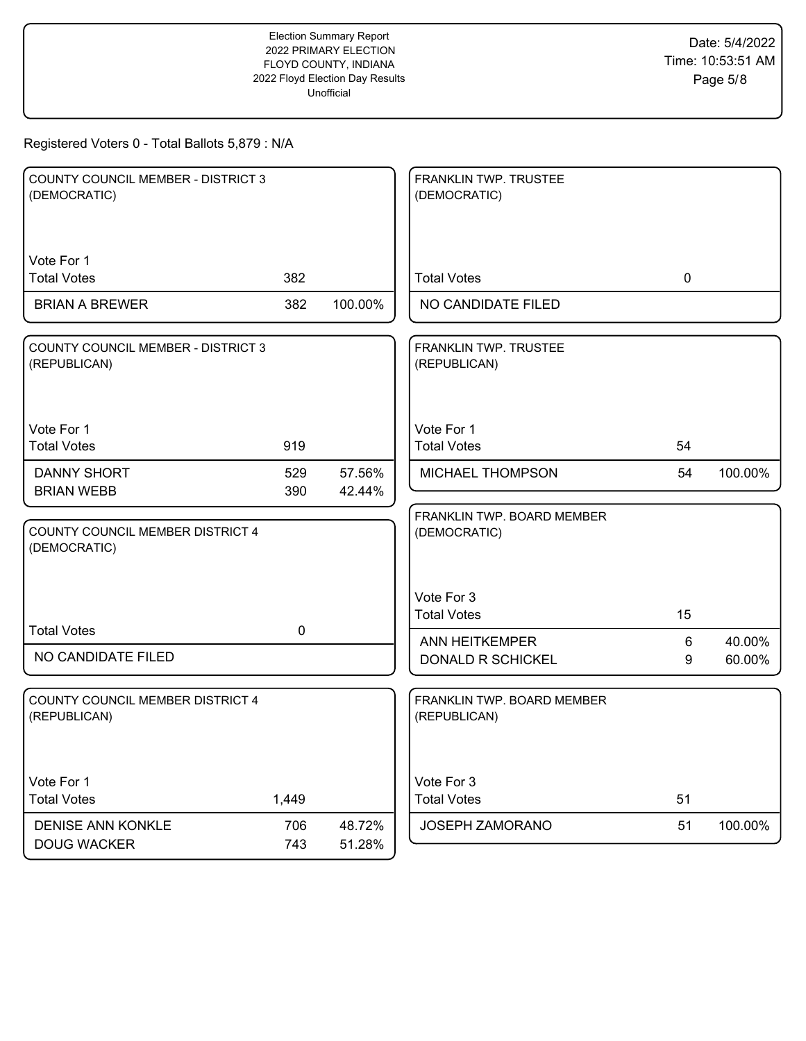| <b>COUNTY COUNCIL MEMBER - DISTRICT 3</b><br>(DEMOCRATIC) |             |                  | FRANKLIN TWP. TRUSTEE<br>(DEMOCRATIC)      |    |         |
|-----------------------------------------------------------|-------------|------------------|--------------------------------------------|----|---------|
| Vote For 1<br><b>Total Votes</b>                          | 382         |                  | <b>Total Votes</b>                         | 0  |         |
| <b>BRIAN A BREWER</b>                                     | 382         | 100.00%          | NO CANDIDATE FILED                         |    |         |
| <b>COUNTY COUNCIL MEMBER - DISTRICT 3</b><br>(REPUBLICAN) |             |                  | FRANKLIN TWP. TRUSTEE<br>(REPUBLICAN)      |    |         |
| Vote For 1<br><b>Total Votes</b>                          | 919         |                  | Vote For 1<br><b>Total Votes</b>           | 54 |         |
| <b>DANNY SHORT</b>                                        | 529         | 57.56%           | MICHAEL THOMPSON                           | 54 | 100.00% |
| <b>BRIAN WEBB</b>                                         | 390         | 42.44%           | FRANKLIN TWP. BOARD MEMBER                 |    |         |
| COUNTY COUNCIL MEMBER DISTRICT 4<br>(DEMOCRATIC)          |             |                  | (DEMOCRATIC)                               |    |         |
|                                                           |             |                  | Vote For 3<br><b>Total Votes</b>           | 15 |         |
| <b>Total Votes</b>                                        | $\mathbf 0$ |                  | <b>ANN HEITKEMPER</b>                      | 6  | 40.00%  |
| NO CANDIDATE FILED                                        |             |                  | DONALD R SCHICKEL                          | 9  | 60.00%  |
| <b>COUNTY COUNCIL MEMBER DISTRICT 4</b><br>(REPUBLICAN)   |             |                  | FRANKLIN TWP. BOARD MEMBER<br>(REPUBLICAN) |    |         |
| Vote For 1<br><b>Total Votes</b>                          | 1,449       |                  | Vote For 3<br><b>Total Votes</b>           | 51 |         |
| <b>DENISE ANN KONKLE</b><br><b>DOUG WACKER</b>            | 706<br>743  | 48.72%<br>51.28% | JOSEPH ZAMORANO                            | 51 | 100.00% |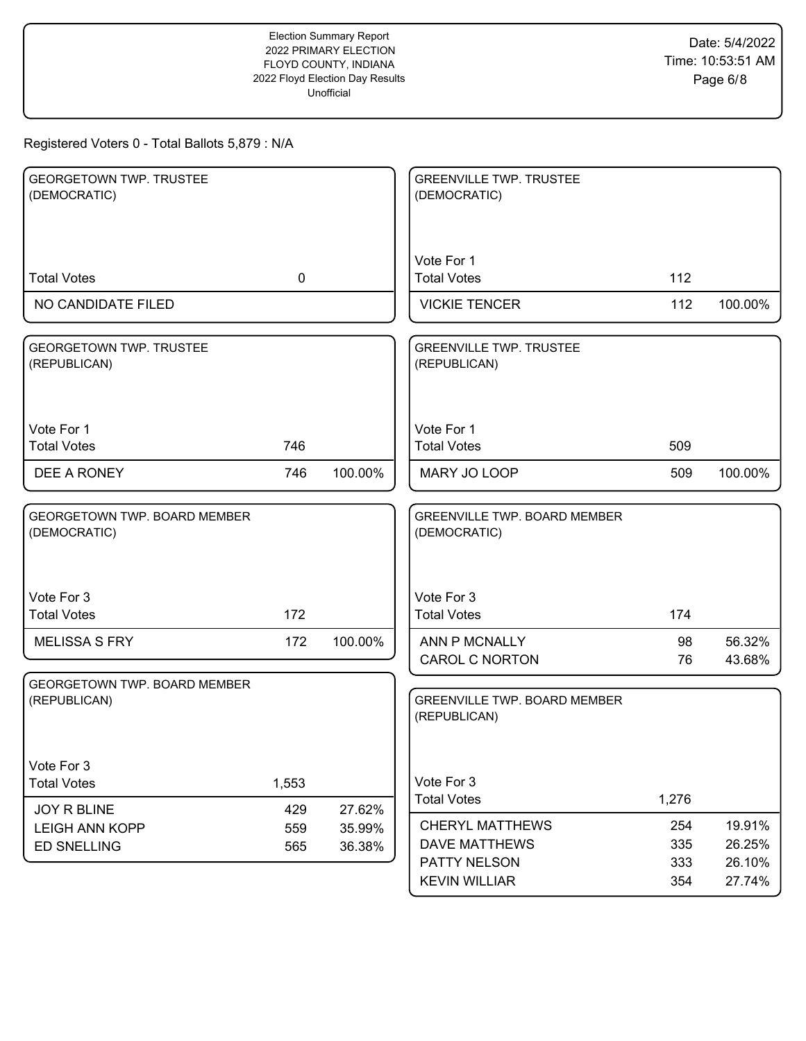| <b>GEORGETOWN TWP. TRUSTEE</b><br>(DEMOCRATIC)      |             |                  | <b>GREENVILLE TWP. TRUSTEE</b><br>(DEMOCRATIC)      |          |                  |
|-----------------------------------------------------|-------------|------------------|-----------------------------------------------------|----------|------------------|
|                                                     |             |                  |                                                     |          |                  |
|                                                     |             |                  | Vote For 1                                          |          |                  |
| <b>Total Votes</b>                                  | $\mathbf 0$ |                  | <b>Total Votes</b>                                  | 112      |                  |
| NO CANDIDATE FILED                                  |             |                  | <b>VICKIE TENCER</b>                                | 112      | 100.00%          |
| <b>GEORGETOWN TWP. TRUSTEE</b><br>(REPUBLICAN)      |             |                  | <b>GREENVILLE TWP. TRUSTEE</b><br>(REPUBLICAN)      |          |                  |
| Vote For 1<br><b>Total Votes</b>                    | 746         |                  | Vote For 1<br><b>Total Votes</b>                    | 509      |                  |
| DEE A RONEY                                         | 746         | 100.00%          | MARY JO LOOP                                        | 509      | 100.00%          |
| <b>GEORGETOWN TWP. BOARD MEMBER</b><br>(DEMOCRATIC) |             |                  | <b>GREENVILLE TWP. BOARD MEMBER</b><br>(DEMOCRATIC) |          |                  |
| Vote For 3<br><b>Total Votes</b>                    | 172         |                  | Vote For 3<br><b>Total Votes</b>                    | 174      |                  |
| <b>MELISSA S FRY</b>                                | 172         | 100.00%          | ANN P MCNALLY<br><b>CAROL C NORTON</b>              | 98<br>76 | 56.32%<br>43.68% |
| GEORGETOWN TWP. BOARD MEMBER<br>(REPUBLICAN)        |             |                  | <b>GREENVILLE TWP. BOARD MEMBER</b><br>(REPUBLICAN) |          |                  |
| Vote For 3                                          |             |                  |                                                     |          |                  |
| <b>Total Votes</b>                                  | 1,553       |                  | Vote For 3<br><b>Total Votes</b>                    | 1,276    |                  |
| JOY R BLINE<br><b>LEIGH ANN KOPP</b>                | 429<br>559  | 27.62%           | <b>CHERYL MATTHEWS</b>                              | 254      | 19.91%           |
| <b>ED SNELLING</b>                                  | 565         | 35.99%<br>36.38% | <b>DAVE MATTHEWS</b>                                | 335      | 26.25%           |
|                                                     |             |                  | PATTY NELSON                                        | 333      | 26.10%           |
|                                                     |             |                  | <b>KEVIN WILLIAR</b>                                | 354      | 27.74%           |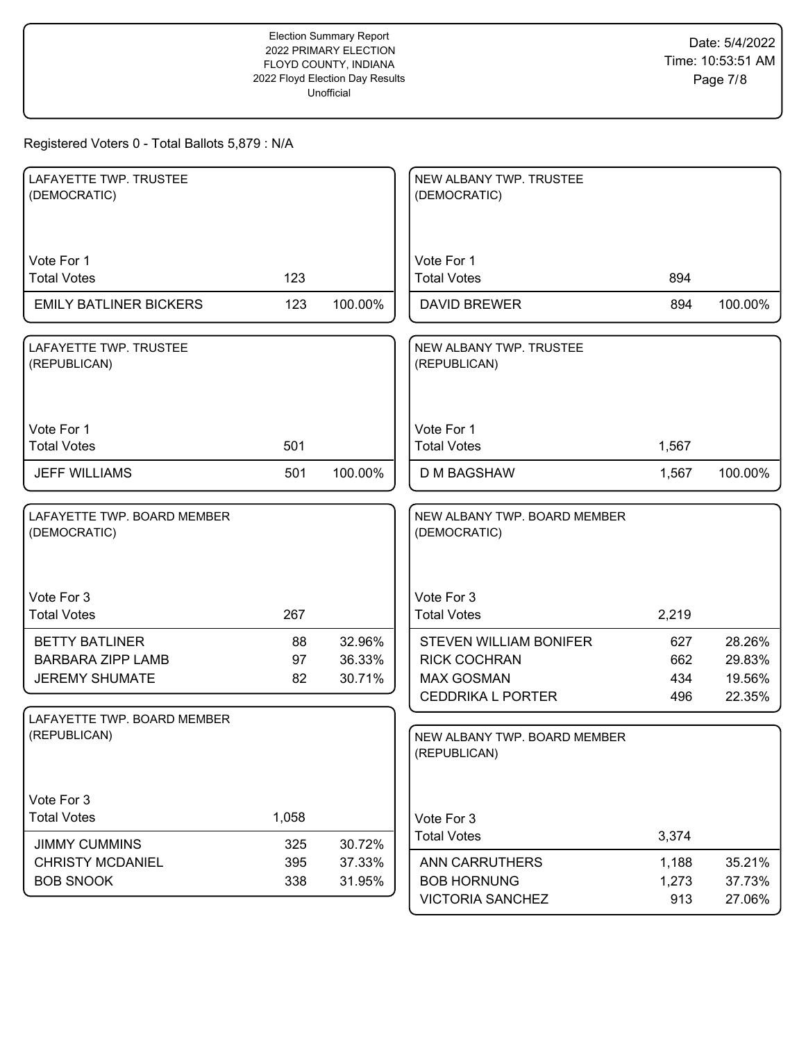| LAFAYETTE TWP. TRUSTEE<br>(DEMOCRATIC)                                     |                |                            | NEW ALBANY TWP. TRUSTEE<br>(DEMOCRATIC)                                                               |                          |                                      |
|----------------------------------------------------------------------------|----------------|----------------------------|-------------------------------------------------------------------------------------------------------|--------------------------|--------------------------------------|
| Vote For 1<br><b>Total Votes</b>                                           | 123            |                            | Vote For 1<br><b>Total Votes</b>                                                                      | 894                      |                                      |
| <b>EMILY BATLINER BICKERS</b>                                              | 123            | 100.00%                    | <b>DAVID BREWER</b>                                                                                   | 894                      | 100.00%                              |
| LAFAYETTE TWP. TRUSTEE<br>(REPUBLICAN)                                     |                |                            | NEW ALBANY TWP. TRUSTEE<br>(REPUBLICAN)                                                               |                          |                                      |
| Vote For 1<br><b>Total Votes</b>                                           | 501            |                            | Vote For 1<br><b>Total Votes</b>                                                                      | 1,567                    |                                      |
| <b>JEFF WILLIAMS</b>                                                       | 501            | 100.00%                    | <b>D M BAGSHAW</b>                                                                                    | 1,567                    | 100.00%                              |
| LAFAYETTE TWP. BOARD MEMBER<br>(DEMOCRATIC)                                |                |                            | NEW ALBANY TWP. BOARD MEMBER<br>(DEMOCRATIC)                                                          |                          |                                      |
| Vote For 3<br><b>Total Votes</b>                                           | 267            |                            | Vote For 3<br><b>Total Votes</b>                                                                      | 2,219                    |                                      |
| <b>BETTY BATLINER</b><br><b>BARBARA ZIPP LAMB</b><br><b>JEREMY SHUMATE</b> | 88<br>97<br>82 | 32.96%<br>36.33%<br>30.71% | <b>STEVEN WILLIAM BONIFER</b><br><b>RICK COCHRAN</b><br><b>MAX GOSMAN</b><br><b>CEDDRIKA L PORTER</b> | 627<br>662<br>434<br>496 | 28.26%<br>29.83%<br>19.56%<br>22.35% |
| LAFAYETTE TWP. BOARD MEMBER<br>(REPUBLICAN)                                |                |                            | NEW ALBANY TWP. BOARD MEMBER<br>(REPUBLICAN)                                                          |                          |                                      |
| Vote For 3<br><b>Total Votes</b><br><b>JIMMY CUMMINS</b>                   | 1,058<br>325   | 30.72%                     | Vote For 3<br><b>Total Votes</b>                                                                      | 3,374                    |                                      |
| <b>CHRISTY MCDANIEL</b><br><b>BOB SNOOK</b>                                | 395<br>338     | 37.33%<br>31.95%           | <b>ANN CARRUTHERS</b><br><b>BOB HORNUNG</b><br><b>VICTORIA SANCHEZ</b>                                | 1,188<br>1,273<br>913    | 35.21%<br>37.73%<br>27.06%           |